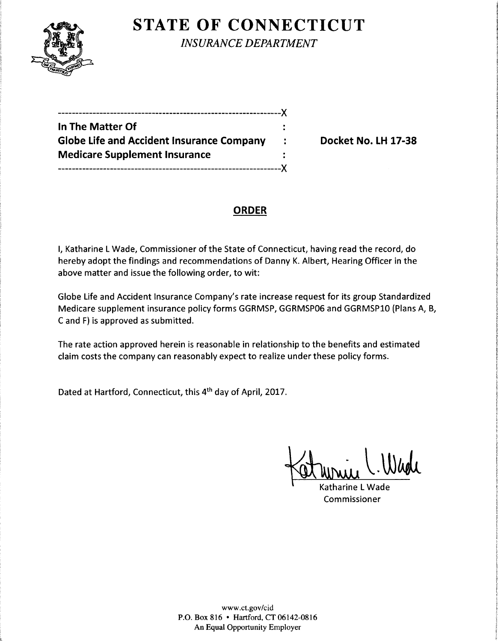

**STATE OF CONNECTICUT** 

*INSURANCE DEPARTMENT* 

----------------------------------------------------------------)( **In The Matter Of**  Globe Life and Accident Insurance Company : Docket No. LH 17-38 **Medicare Supplement Insurance**  ----------------------------------------------------------------><

# **ORDER**

I, Katharine L Wade, Commissioner of the State of Connecticut, having read the record, do hereby adopt the findings and recommendations of Danny K. Albert, Hearing Officer in the above matter and issue the following order, to wit:

Globe Life and Accident Insurance Company's rate increase request for its group Standardized Medicare supplement insurance policy forms GGRMSP, GGRMSPOG and GGRMSPlO (Plans A, B, C and F) is approved as submitted.

The rate action approved herein is reasonable in relationship to the benefits and estimated claim costs the company can reasonably expect to realize under these policy forms.

Dated at Hartford, Connecticut, this 4th day of April, 2017.

Katharine L Wade Commissioner

www.ct.gov/cid P.O. Box 816 • Hartford, CT 06142-0816 An Equal Opportunity Employer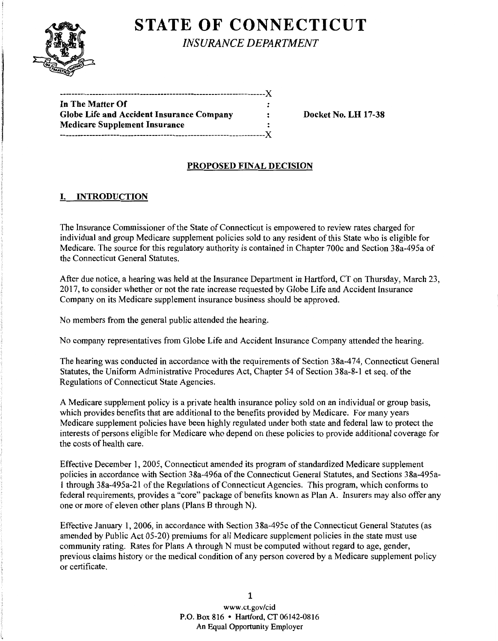# **STATE OF CONNECTICUT**

*INSURANCE DEPARTMENT* 

| In The Matter Of                                 |                      |
|--------------------------------------------------|----------------------|
| <b>Globe Life and Accident Insurance Company</b> | $\ddot{\phantom{a}}$ |
| Medicare Supplement Insurance                    |                      |
| .------------------------------X                 |                      |
|                                                  |                      |

: Docket No. LH 17-38

### PROPOSED FINAL DECISION

## I. INTRODUCTION

The Insurance Commissioner of the State of Connecticut is empowered to review rates charged for individual and group Medicare supplement policies sold to any resident of this State who is eligible for Medicare. The source for this regulatory authority is contained in Chapter 700c and Section 38a-495a of the Connecticut General Statutes.

After due notice, a hearing was held at the Insurance Department in Hartford, CT on Thursday, March 23, 2017, to consider whether or not the rate increase requested by Globe Life and Accident Insurance Company on its Medicare supplement insurance business should be approved.

No members from the general public attended the hearing.

No company representatives from Globe Life and Accident Insurance Company attended the hearing.

The hearing was conducted in accordance with the requirements of Section 38a-474, Connecticut General Statutes, the Uniform Administrative Procedures Act, Chapter 54 of Section 38a-8-1 et seq. of the Regulations of Connecticut State Agencies.

A Medicare supplement policy is a private health insurance policy sold on an individual or group basis, which provides benefits that are additional to the benefits provided by Medicare. For many years Medicare supplement policies have been highly regulated under both state and federal law to protect the interests of persons eligible for Medicare who depend on these policies to provide additional coverage for the costs of health care.

Effective December 1, 2005, Connecticut amended its program of standardized Medicare supplement policies in accordance with Section 38a-496a of the Connecticut General Statutes, and Sections 38a-495al through 38a-495a-21 ofthe Regulations of Connecticut Agencies. This program, which conforms to federal requirements, provides a "core" package of benefits known as Plan A. Insurers may also offer any one or more of eleven other plans (Plans B through N).

Effective January 1, 2006, in accordance with Section 38a-495c ofthe Connecticut General Statutes (as amended by Public Act 05-20) premiums for all Medicare supplement policies in the state must use community rating. Rates for Plans A through N must be computed without regard to age, gender, previous claims history or the medical condition of any person covered by a Medicare supplement policy or certificate.

> 1 www.ct.gov/cid P.O. Box 816 • Hartford, CT 06142-0816 An Equal Opportunity Employer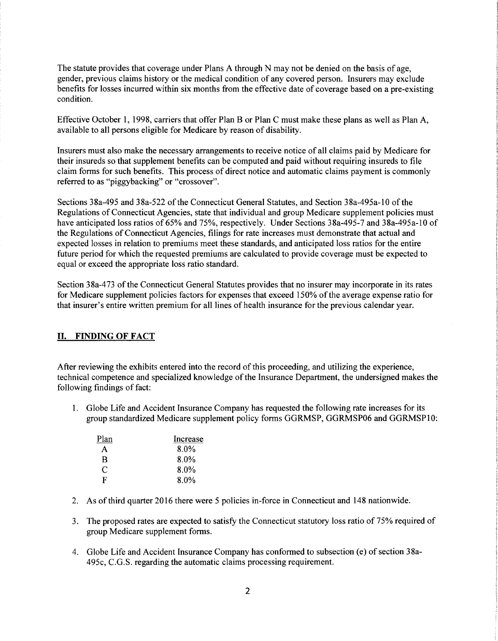The statute provides that coverage under Plans A through N may not be denied on the basis of age, gender, previous claims history or the medical condition of any covered person. Insurers may exclude benefits for losses incurred within six months from the effective date of coverage based on a pre-existing condition.

Effective October 1, 1998, carriers that offer Plan B or Plan C must make these plans as well as Plan A, available to all persons eligible for Medicare by reason of disability.

Insurers must also make the necessary arrangements to receive notice of all claims paid by Medicare for their insureds so that supplement benefits can be computed and paid without requiring insureds to file claim forms for such benefits. This process of direct notice and automatic claims payment is commonly referred to as "piggybacking" or "crossover".

Sections 38a-495 and 38a-522 ofthe Connecticut General Statutes, and Section 38a-495a-10 of the Regulations of Connecticut Agencies, state that individual and group Medicare supplement policies must have anticipated loss ratios of 65% and 75%, respectively. Under Sections 38a-495-7 and 38a-495a-10 of the Regulations of Connecticut Agencies, filings for rate increases must demonstrate that actual and expected losses in relation to premiums meet these standards, and anticipated loss ratios for the entire future period for which the requested premiums are calculated to provide coverage must be expected to equal or exceed the appropriate loss ratio standard.

Section 38a-473 of the Connecticut General Statutes provides that no insurer may incorporate in its rates for Medicare supplement policies factors for expenses that exceed 150% of the average expense ratio for that insurer's entire written premium for all lines of health insurance for the previous calendar year.

#### II. FINDING OF FACT

After reviewing the exhibits entered into the record of this proceeding, and utilizing the experience, technical competence and specialized knowledge of the Insurance Department, the undersigned makes the following findings of fact:

1. Globe Life and Accident Insurance Company has requested the following rate increases for its group standardized Medicare supplement policy forms GGRMSP, GGRMSP06 and GGRMSP10:

| Plan | Increase |
|------|----------|
| A    | $8.0\%$  |
| B    | 8.0%     |
| C    | $8.0\%$  |
| F    | 8.0%     |

- 2. As of third quarter 2016 there were 5 policies in-force in Connecticut and 148 nationwide.
- 3. The proposed rates are expected to satisfy the Connecticut statutory loss ratio of 75% required of group Medicare supplement forms.
- 4. Globe Life and Accident Insurance Company has conformed to subsection (e) of section 38a-495c, C.G.S. regarding the automatic claims processing requirement.